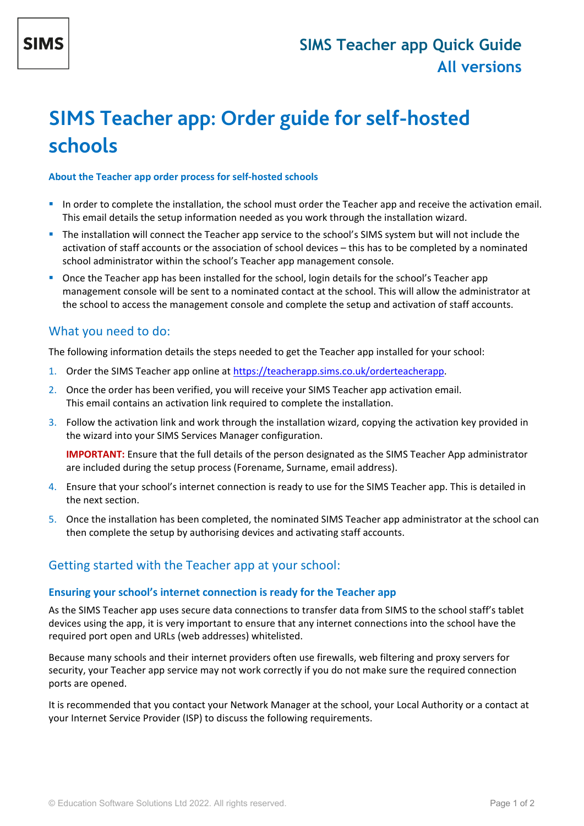# **SIMS Teacher app: Order guide for self-hosted schools**

#### **About the Teacher app order process for self-hosted schools**

- In order to complete the installation, the school must order the Teacher app and receive the activation email. This email details the setup information needed as you work through the installation wizard.
- The installation will connect the Teacher app service to the school's SIMS system but will not include the activation of staff accounts or the association of school devices – this has to be completed by a nominated school administrator within the school's Teacher app management console.
- **Once the Teacher app has been installed for the school, login details for the school's Teacher app** management console will be sent to a nominated contact at the school. This will allow the administrator at the school to access the management console and complete the setup and activation of staff accounts.

## What you need to do:

The following information details the steps needed to get the Teacher app installed for your school:

- 1. Order the SIMS Teacher app online at [https://teacherapp.sims.co.uk/orderteacherapp.](https://teacherapp.sims.co.uk/orderteacherapp)
- 2. Once the order has been verified, you will receive your SIMS Teacher app activation email. This email contains an activation link required to complete the installation.
- 3. Follow the activation link and work through the installation wizard, copying the activation key provided in the wizard into your SIMS Services Manager configuration.

**IMPORTANT:** Ensure that the full details of the person designated as the SIMS Teacher App administrator are included during the setup process (Forename, Surname, email address).

- 4. Ensure that your school's internet connection is ready to use for the SIMS Teacher app. This is detailed in the next section.
- 5. Once the installation has been completed, the nominated SIMS Teacher app administrator at the school can then complete the setup by authorising devices and activating staff accounts.

# Getting started with the Teacher app at your school:

## **Ensuring your school's internet connection is ready for the Teacher app**

As the SIMS Teacher app uses secure data connections to transfer data from SIMS to the school staff's tablet devices using the app, it is very important to ensure that any internet connections into the school have the required port open and URLs (web addresses) whitelisted.

Because many schools and their internet providers often use firewalls, web filtering and proxy servers for security, your Teacher app service may not work correctly if you do not make sure the required connection ports are opened.

It is recommended that you contact your Network Manager at the school, your Local Authority or a contact at your Internet Service Provider (ISP) to discuss the following requirements.